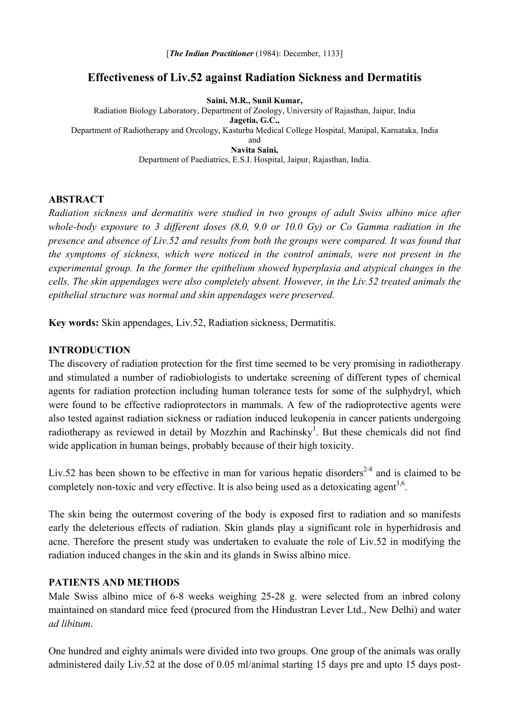# **Effectiveness of Liv.52 against Radiation Sickness and Dermatitis**

**Saini, M.R., Sunil Kumar,**  Radiation Biology Laboratory, Department of Zoology, University of Rajasthan, Jaipur, India **Jagetia, G.C.,** Department of Radiotherapy and Orcology, Kasturba Medical College Hospital, Manipal, Karnataka, India and **Navita Saini,**  Department of Paediatrics, E.S.I. Hospital, Jaipur, Rajasthan, India.

## **ABSTRACT**

*Radiation sickness and dermatitis were studied in two groups of adult Swiss albino mice after whole-body exposure to 3 different doses (8.0, 9.0 or 10.0 Gy) or Co Gamma radiation in the presence and absence of Liv.52 and results from both the groups were compared. It was found that the symptoms of sickness, which were noticed in the control animals, were not present in the experimental group. In the former the epithelium showed hyperplasia and atypical changes in the cells. The skin appendages were also completely absent. However, in the Liv.52 treated animals the epithelial structure was normal and skin appendages were preserved.* 

**Key words:** Skin appendages, Liv.52, Radiation sickness, Dermatitis.

## **INTRODUCTION**

The discovery of radiation protection for the first time seemed to be very promising in radiotherapy and stimulated a number of radiobiologists to undertake screening of different types of chemical agents for radiation protection including human tolerance tests for some of the sulphydryl, which were found to be effective radioprotectors in mammals. A few of the radioprotective agents were also tested against radiation sickness or radiation induced leukopenia in cancer patients undergoing radiotherapy as reviewed in detail by Mozzhin and Rachinsky<sup>1</sup>. But these chemicals did not find wide application in human beings, probably because of their high toxicity.

Liv.52 has been shown to be effective in man for various hepatic disorders<sup>2-8</sup> and is claimed to be completely non-toxic and very effective. It is also being used as a detoxicating agent<sup>3,6</sup>.

The skin being the outermost covering of the body is exposed first to radiation and so manifests early the deleterious effects of radiation. Skin glands play a significant role in hyperhidrosis and acne. Therefore the present study was undertaken to evaluate the role of Liv.52 in modifying the radiation induced changes in the skin and its glands in Swiss albino mice.

#### **PATIENTS AND METHODS**

Male Swiss albino mice of 6-8 weeks weighing 25-28 g. were selected from an inbred colony maintained on standard mice feed (procured from the Hindustran Lever Ltd., New Delhi) and water *ad libitum*.

One hundred and eighty animals were divided into two groups. One group of the animals was orally administered daily Liv.52 at the dose of 0.05 ml/animal starting 15 days pre and upto 15 days post-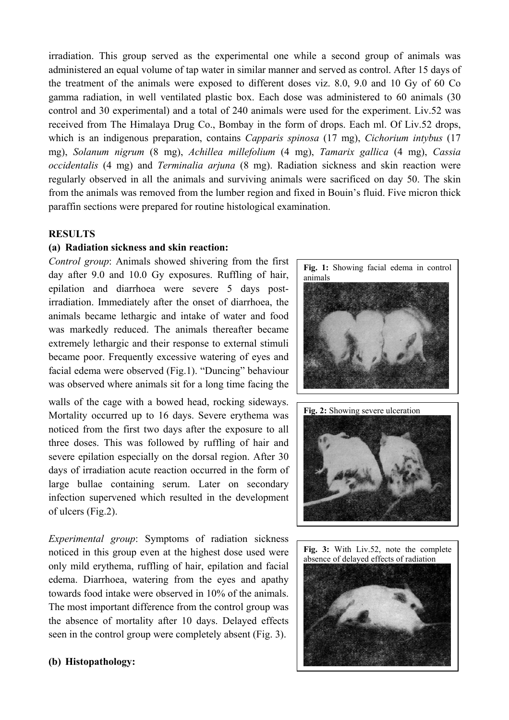irradiation. This group served as the experimental one while a second group of animals was administered an equal volume of tap water in similar manner and served as control. After 15 days of the treatment of the animals were exposed to different doses viz. 8.0, 9.0 and 10 Gy of 60 Co gamma radiation, in well ventilated plastic box. Each dose was administered to 60 animals (30 control and 30 experimental) and a total of 240 animals were used for the experiment. Liv.52 was received from The Himalaya Drug Co., Bombay in the form of drops. Each ml. Of Liv.52 drops, which is an indigenous preparation, contains *Capparis spinosa* (17 mg), *Cichorium intybus* (17 mg), *Solanum nigrum* (8 mg), *Achillea millefolium* (4 mg), *Tamarix gallica* (4 mg), *Cassia occidentalis* (4 mg) and *Terminalia arjuna* (8 mg). Radiation sickness and skin reaction were regularly observed in all the animals and surviving animals were sacrificed on day 50. The skin from the animals was removed from the lumber region and fixed in Bouin's fluid. Five micron thick paraffin sections were prepared for routine histological examination.

## **RESULTS**

#### **(a) Radiation sickness and skin reaction:**

*Control group*: Animals showed shivering from the first day after 9.0 and 10.0 Gy exposures. Ruffling of hair, epilation and diarrhoea were severe 5 days postirradiation. Immediately after the onset of diarrhoea, the animals became lethargic and intake of water and food was markedly reduced. The animals thereafter became extremely lethargic and their response to external stimuli became poor. Frequently excessive watering of eyes and facial edema were observed (Fig.1). "Duncing" behaviour was observed where animals sit for a long time facing the

walls of the cage with a bowed head, rocking sideways. Mortality occurred up to 16 days. Severe erythema was noticed from the first two days after the exposure to all three doses. This was followed by ruffling of hair and severe epilation especially on the dorsal region. After 30 days of irradiation acute reaction occurred in the form of large bullae containing serum. Later on secondary infection supervened which resulted in the development of ulcers (Fig.2).

*Experimental group*: Symptoms of radiation sickness noticed in this group even at the highest dose used were only mild erythema, ruffling of hair, epilation and facial edema. Diarrhoea, watering from the eyes and apathy towards food intake were observed in 10% of the animals. The most important difference from the control group was the absence of mortality after 10 days. Delayed effects seen in the control group were completely absent (Fig. 3).

#### **(b) Histopathology:**

**Fig. 1:** Showing facial edema in control animals **Fig. 2:** Showing severe ulceration



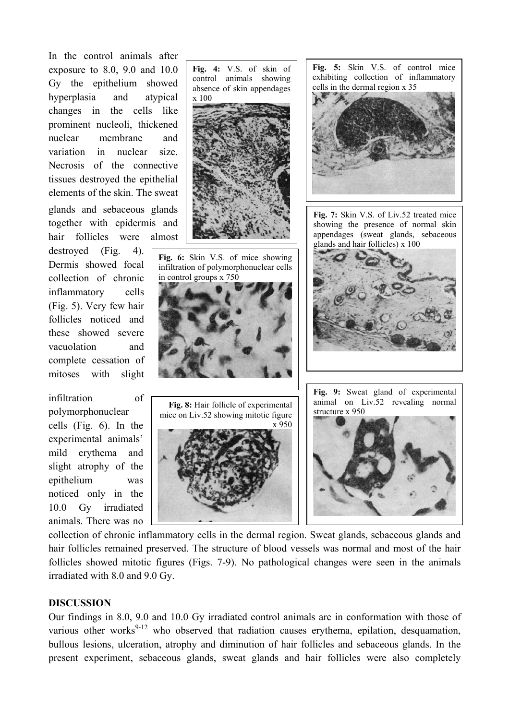In the control animals after exposure to 8.0, 9.0 and 10.0 Gy the epithelium showed hyperplasia and atypical changes in the cells like prominent nucleoli, thickened nuclear membrane and variation in nuclear size. Necrosis of the connective tissues destroyed the epithelial elements of the skin. The sweat

glands and sebaceous glands together with epidermis and hair follicles were almost

destroyed (Fig. 4). Dermis showed focal collection of chronic inflammatory cells (Fig. 5). Very few hair follicles noticed and these showed severe vacuolation and complete cessation of mitoses with slight

infiltration of polymorphonuclear cells (Fig. 6). In the experimental animals' mild erythema and slight atrophy of the epithelium was noticed only in the 10.0 Gy irradiated animals. There was no

**Fig. 6:** Skin V.S. of mice showing infiltration of polymorphonuclear cells in control groups x 750 control animals showing absence of skin appendages x 100 structure x 950 **Fig. 8:** Hair follicle of experimental mice on Liv.52 showing mitotic figure x 950

collection of chronic inflammatory cells in the dermal region. Sweat glands, sebaceous glands and hair follicles remained preserved. The structure of blood vessels was normal and most of the hair follicles showed mitotic figures (Figs. 7-9). No pathological changes were seen in the animals irradiated with 8.0 and 9.0 Gy.

# **DISCUSSION**

Our findings in 8.0, 9.0 and 10.0 Gy irradiated control animals are in conformation with those of various other works<sup>9-12</sup> who observed that radiation causes erythema, epilation, desquamation, bullous lesions, ulceration, atrophy and diminution of hair follicles and sebaceous glands. In the present experiment, sebaceous glands, sweat glands and hair follicles were also completely





**Fig. 5:** Skin V.S. of control mice exhibiting collection of inflammatory cells in the dermal region x 35



**Fig. 7:** Skin V.S. of Liv.52 treated mice showing the presence of normal skin appendages (sweat glands, sebaceous glands and hair follicles) x 100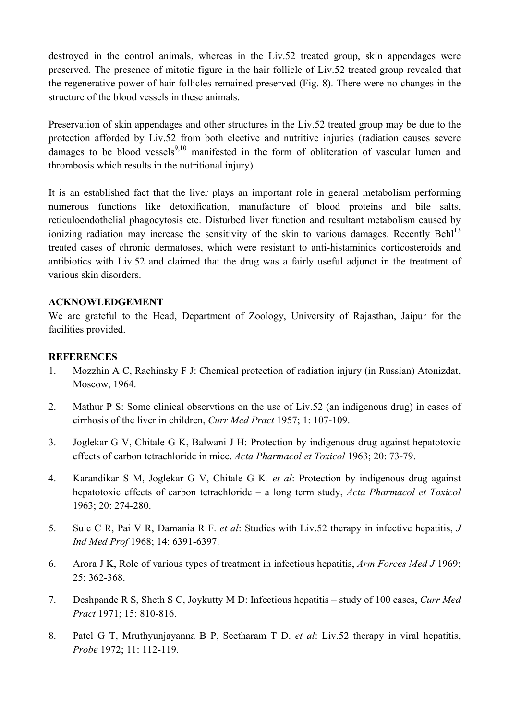destroyed in the control animals, whereas in the Liv.52 treated group, skin appendages were preserved. The presence of mitotic figure in the hair follicle of Liv.52 treated group revealed that the regenerative power of hair follicles remained preserved (Fig. 8). There were no changes in the structure of the blood vessels in these animals.

Preservation of skin appendages and other structures in the Liv.52 treated group may be due to the protection afforded by Liv.52 from both elective and nutritive injuries (radiation causes severe damages to be blood vessels<sup>9,10</sup> manifested in the form of obliteration of vascular lumen and thrombosis which results in the nutritional injury).

It is an established fact that the liver plays an important role in general metabolism performing numerous functions like detoxification, manufacture of blood proteins and bile salts, reticuloendothelial phagocytosis etc. Disturbed liver function and resultant metabolism caused by ionizing radiation may increase the sensitivity of the skin to various damages. Recently Behl<sup>13</sup> treated cases of chronic dermatoses, which were resistant to anti-histaminics corticosteroids and antibiotics with Liv.52 and claimed that the drug was a fairly useful adjunct in the treatment of various skin disorders.

## **ACKNOWLEDGEMENT**

We are grateful to the Head, Department of Zoology, University of Rajasthan, Jaipur for the facilities provided.

# **REFERENCES**

- 1. Mozzhin A C, Rachinsky F J: Chemical protection of radiation injury (in Russian) Atonizdat, Moscow, 1964.
- 2. Mathur P S: Some clinical observtions on the use of Liv.52 (an indigenous drug) in cases of cirrhosis of the liver in children, *Curr Med Pract* 1957; 1: 107-109.
- 3. Joglekar G V, Chitale G K, Balwani J H: Protection by indigenous drug against hepatotoxic effects of carbon tetrachloride in mice. *Acta Pharmacol et Toxicol* 1963; 20: 73-79.
- 4. Karandikar S M, Joglekar G V, Chitale G K. *et al*: Protection by indigenous drug against hepatotoxic effects of carbon tetrachloride – a long term study, *Acta Pharmacol et Toxicol*  1963; 20: 274-280.
- 5. Sule C R, Pai V R, Damania R F. *et al*: Studies with Liv.52 therapy in infective hepatitis, *J Ind Med Prof* 1968; 14: 6391-6397.
- 6. Arora J K, Role of various types of treatment in infectious hepatitis, *Arm Forces Med J* 1969; 25: 362-368.
- 7. Deshpande R S, Sheth S C, Joykutty M D: Infectious hepatitis study of 100 cases, *Curr Med Pract* 1971; 15: 810-816.
- 8. Patel G T, Mruthyunjayanna B P, Seetharam T D. *et al*: Liv.52 therapy in viral hepatitis, *Probe* 1972; 11: 112-119.